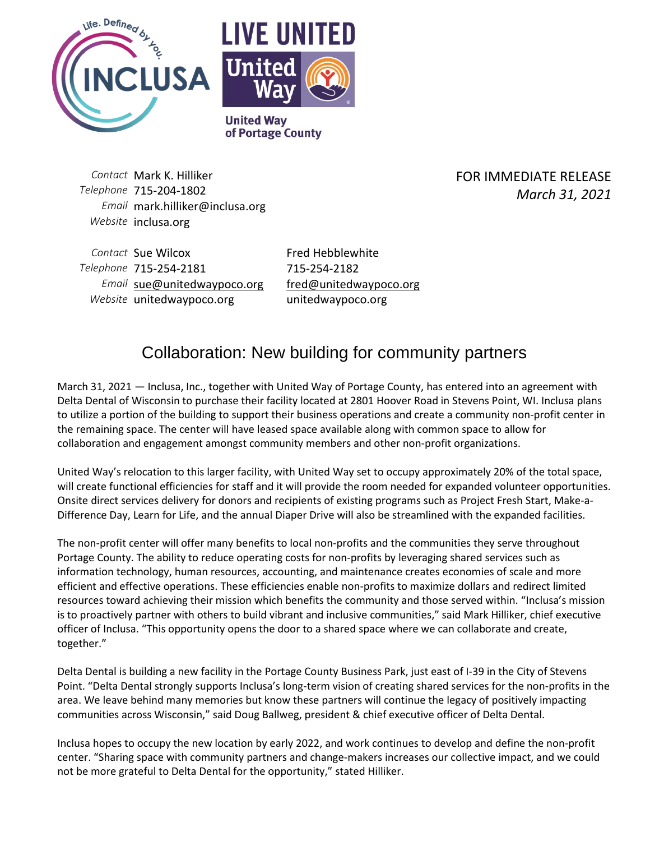



**United Way** of Portage County

*Contact* Mark K. Hilliker *Telephone* 715-204-1802 *Email* mark.hilliker@inclusa.org *Website* inclusa.org

FOR IMMEDIATE RELEASE *March 31, 2021*

**Contact** Sue Wilcox **Fred Hebblewhite** *Telephone* 715-254-2181 715-254-2182 *Email* [sue@unitedwaypoco.org](mailto:sue@unitedwaypoco.org) [fred@unitedwaypoco.org](mailto:fred@unitedwaypoco.org) *Website* unitedwaypoco.org unitedwaypoco.org

## Collaboration: New building for community partners

March 31, 2021 — Inclusa, Inc., together with United Way of Portage County, has entered into an agreement with Delta Dental of Wisconsin to purchase their facility located at 2801 Hoover Road in Stevens Point, WI. Inclusa plans to utilize a portion of the building to support their business operations and create a community non-profit center in the remaining space. The center will have leased space available along with common space to allow for collaboration and engagement amongst community members and other non-profit organizations.

United Way's relocation to this larger facility, with United Way set to occupy approximately 20% of the total space, will create functional efficiencies for staff and it will provide the room needed for expanded volunteer opportunities. Onsite direct services delivery for donors and recipients of existing programs such as Project Fresh Start, Make-a-Difference Day, Learn for Life, and the annual Diaper Drive will also be streamlined with the expanded facilities.

The non-profit center will offer many benefits to local non-profits and the communities they serve throughout Portage County. The ability to reduce operating costs for non-profits by leveraging shared services such as information technology, human resources, accounting, and maintenance creates economies of scale and more efficient and effective operations. These efficiencies enable non-profits to maximize dollars and redirect limited resources toward achieving their mission which benefits the community and those served within. "Inclusa's mission is to proactively partner with others to build vibrant and inclusive communities," said Mark Hilliker, chief executive officer of Inclusa. "This opportunity opens the door to a shared space where we can collaborate and create, together."

Delta Dental is building a new facility in the Portage County Business Park, just east of I-39 in the City of Stevens Point. "Delta Dental strongly supports Inclusa's long-term vision of creating shared services for the non-profits in the area. We leave behind many memories but know these partners will continue the legacy of positively impacting communities across Wisconsin," said Doug Ballweg, president & chief executive officer of Delta Dental.

Inclusa hopes to occupy the new location by early 2022, and work continues to develop and define the non-profit center. "Sharing space with community partners and change-makers increases our collective impact, and we could not be more grateful to Delta Dental for the opportunity," stated Hilliker.